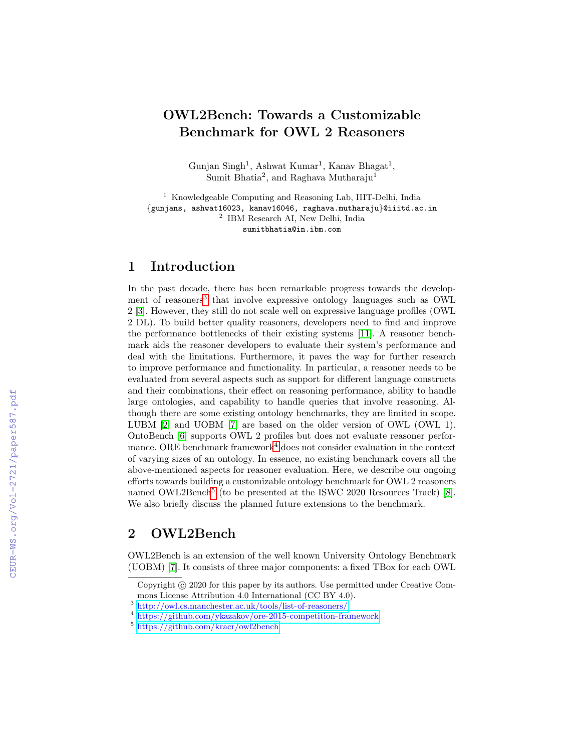# OWL2Bench: Towards a Customizable Benchmark for OWL 2 Reasoners

Gunjan Singh<sup>1</sup>, Ashwat Kumar<sup>1</sup>, Kanav Bhagat<sup>1</sup>, Sumit Bhatia<sup>2</sup>, and Raghava Mutharaju<sup>1</sup>

<sup>1</sup> Knowledgeable Computing and Reasoning Lab, IIIT-Delhi, India {gunjans, ashwat16023, kanav16046, raghava.mutharaju}@iiitd.ac.in 2 IBM Research AI, New Delhi, India sumitbhatia@in.ibm.com

## 1 Introduction

In the past decade, there has been remarkable progress towards the develop-ment of reasoners<sup>[3](#page-0-0)</sup> that involve expressive ontology languages such as OWL 2 [\[3\]](#page--1-0). However, they still do not scale well on expressive language profiles (OWL 2 DL). To build better quality reasoners, developers need to find and improve the performance bottlenecks of their existing systems [\[11\]](#page--1-1). A reasoner benchmark aids the reasoner developers to evaluate their system's performance and deal with the limitations. Furthermore, it paves the way for further research to improve performance and functionality. In particular, a reasoner needs to be evaluated from several aspects such as support for different language constructs and their combinations, their effect on reasoning performance, ability to handle large ontologies, and capability to handle queries that involve reasoning. Although there are some existing ontology benchmarks, they are limited in scope. LUBM [\[2\]](#page--1-2) and UOBM [\[7\]](#page--1-3) are based on the older version of OWL (OWL 1). OntoBench [\[6\]](#page--1-4) supports OWL 2 profiles but does not evaluate reasoner perfor-mance. ORE benchmark framework<sup>[4](#page-0-1)</sup> does not consider evaluation in the context of varying sizes of an ontology. In essence, no existing benchmark covers all the above-mentioned aspects for reasoner evaluation. Here, we describe our ongoing efforts towards building a customizable ontology benchmark for OWL 2 reasoners named OWL2Bench<sup>[5](#page-0-2)</sup> (to be presented at the ISWC 2020 Resources Track) [\[8\]](#page--1-5). We also briefly discuss the planned future extensions to the benchmark.

## 2 OWL2Bench

OWL2Bench is an extension of the well known University Ontology Benchmark (UOBM) [\[7\]](#page--1-3). It consists of three major components: a fixed TBox for each OWL

Copyright  $\odot$  2020 for this paper by its authors. Use permitted under Creative Commons License Attribution 4.0 International (CC BY 4.0).

<span id="page-0-0"></span><sup>3</sup> <http://owl.cs.manchester.ac.uk/tools/list-of-reasoners/>

<span id="page-0-1"></span><sup>4</sup> <https://github.com/ykazakov/ore-2015-competition-framework>

<span id="page-0-2"></span><sup>5</sup> <https://github.com/kracr/owl2bench>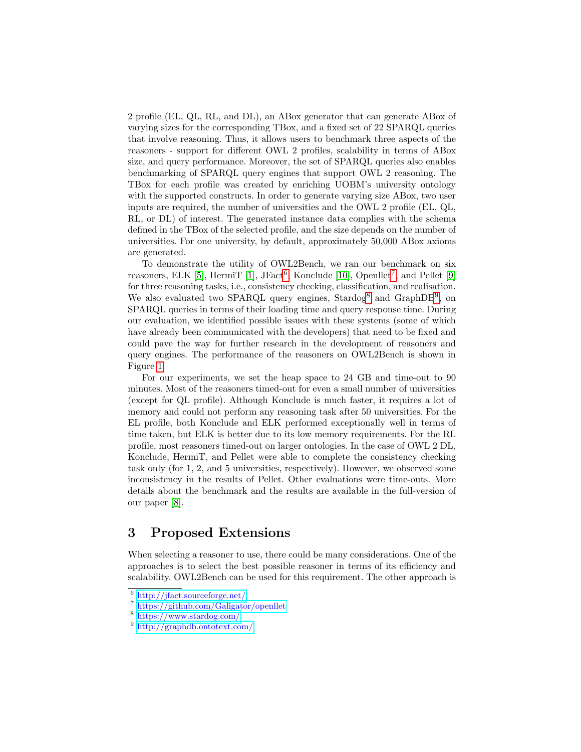2 profile (EL, QL, RL, and DL), an ABox generator that can generate ABox of varying sizes for the corresponding TBox, and a fixed set of 22 SPARQL queries that involve reasoning. Thus, it allows users to benchmark three aspects of the reasoners - support for different OWL 2 profiles, scalability in terms of ABox size, and query performance. Moreover, the set of SPARQL queries also enables benchmarking of SPARQL query engines that support OWL 2 reasoning. The TBox for each profile was created by enriching UOBM's university ontology with the supported constructs. In order to generate varying size ABox, two user inputs are required, the number of universities and the OWL 2 profile (EL, QL, RL, or DL) of interest. The generated instance data complies with the schema defined in the TBox of the selected profile, and the size depends on the number of universities. For one university, by default, approximately 50,000 ABox axioms are generated.

To demonstrate the utility of OWL2Bench, we ran our benchmark on six reasoners, ELK [\[5\]](#page-4-0), HermiT [\[1\]](#page-4-1), JFact<sup>[6](#page-1-0)</sup>, Konclude [\[10\]](#page-4-2), Openllet<sup>[7](#page-1-1)</sup>, and Pellet [\[9\]](#page-4-3) for three reasoning tasks, i.e., consistency checking, classification, and realisation. We also evaluated two SPARQL query engines, Stardog<sup>[8](#page-1-2)</sup> and GraphDB<sup>[9](#page-1-3)</sup>, on SPARQL queries in terms of their loading time and query response time. During our evaluation, we identified possible issues with these systems (some of which have already been communicated with the developers) that need to be fixed and could pave the way for further research in the development of reasoners and query engines. The performance of the reasoners on OWL2Bench is shown in Figure [1.](#page-2-0)

For our experiments, we set the heap space to 24 GB and time-out to 90 minutes. Most of the reasoners timed-out for even a small number of universities (except for QL profile). Although Konclude is much faster, it requires a lot of memory and could not perform any reasoning task after 50 universities. For the EL profile, both Konclude and ELK performed exceptionally well in terms of time taken, but ELK is better due to its low memory requirements. For the RL profile, most reasoners timed-out on larger ontologies. In the case of OWL 2 DL, Konclude, HermiT, and Pellet were able to complete the consistency checking task only (for 1, 2, and 5 universities, respectively). However, we observed some inconsistency in the results of Pellet. Other evaluations were time-outs. More details about the benchmark and the results are available in the full-version of our paper [\[8\]](#page-4-4).

### 3 Proposed Extensions

When selecting a reasoner to use, there could be many considerations. One of the approaches is to select the best possible reasoner in terms of its efficiency and scalability. OWL2Bench can be used for this requirement. The other approach is

<span id="page-1-0"></span><sup>6</sup> <http://jfact.sourceforge.net/>

<span id="page-1-1"></span><sup>7</sup> <https://github.com/Galigator/openllet>

<span id="page-1-2"></span><sup>8</sup> <https://www.stardog.com/>

<span id="page-1-3"></span><sup>9</sup> <http://graphdb.ontotext.com/>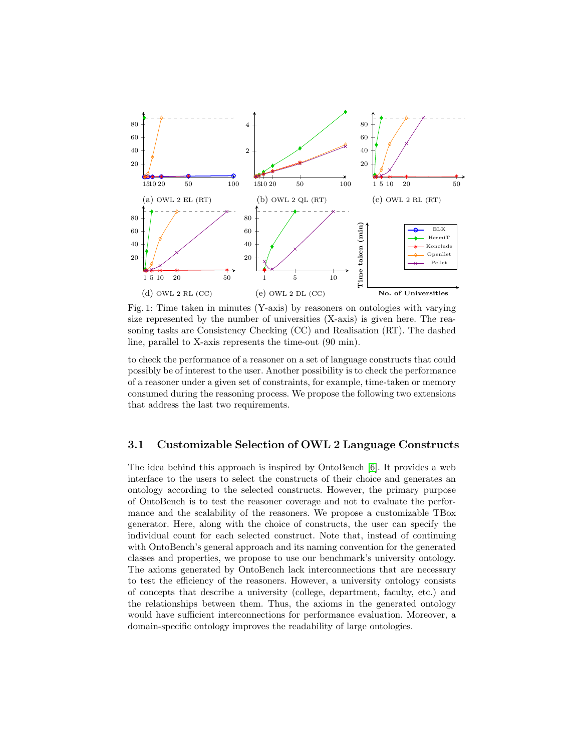<span id="page-2-0"></span>

Fig. 1: Time taken in minutes (Y-axis) by reasoners on ontologies with varying size represented by the number of universities (X-axis) is given here. The reasoning tasks are Consistency Checking (CC) and Realisation (RT). The dashed line, parallel to X-axis represents the time-out (90 min).

to check the performance of a reasoner on a set of language constructs that could possibly be of interest to the user. Another possibility is to check the performance of a reasoner under a given set of constraints, for example, time-taken or memory consumed during the reasoning process. We propose the following two extensions that address the last two requirements.

#### <span id="page-2-1"></span>3.1 Customizable Selection of OWL 2 Language Constructs

The idea behind this approach is inspired by OntoBench [\[6\]](#page-4-5). It provides a web interface to the users to select the constructs of their choice and generates an ontology according to the selected constructs. However, the primary purpose of OntoBench is to test the reasoner coverage and not to evaluate the performance and the scalability of the reasoners. We propose a customizable TBox generator. Here, along with the choice of constructs, the user can specify the individual count for each selected construct. Note that, instead of continuing with OntoBench's general approach and its naming convention for the generated classes and properties, we propose to use our benchmark's university ontology. The axioms generated by OntoBench lack interconnections that are necessary to test the efficiency of the reasoners. However, a university ontology consists of concepts that describe a university (college, department, faculty, etc.) and the relationships between them. Thus, the axioms in the generated ontology would have sufficient interconnections for performance evaluation. Moreover, a domain-specific ontology improves the readability of large ontologies.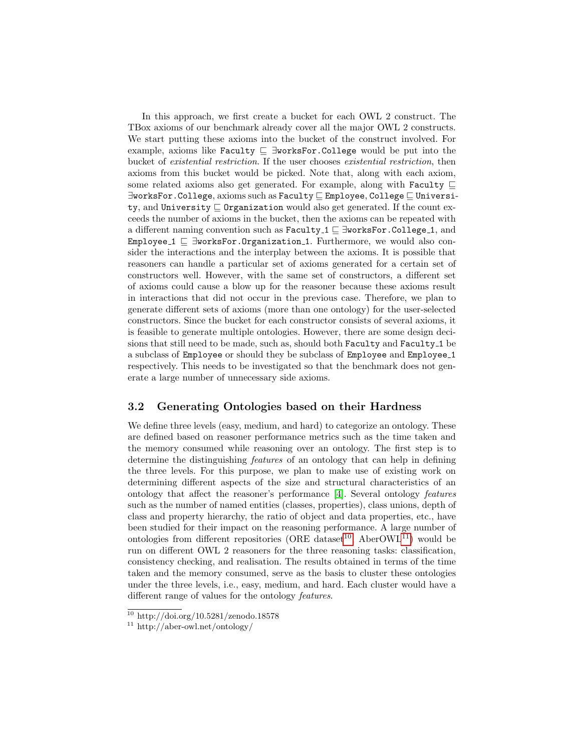In this approach, we first create a bucket for each OWL 2 construct. The TBox axioms of our benchmark already cover all the major OWL 2 constructs. We start putting these axioms into the bucket of the construct involved. For example, axioms like Faculty  $\subseteq \exists$ worksFor.College would be put into the bucket of existential restriction. If the user chooses existential restriction, then axioms from this bucket would be picked. Note that, along with each axiom, some related axioms also get generated. For example, along with Faculty  $\sqsubseteq$ ∃worksFor.College, axioms such as Faculty ⊑ Employee, College ⊑ University, and University  $\subseteq$  Organization would also get generated. If the count exceeds the number of axioms in the bucket, then the axioms can be repeated with a different naming convention such as Faculty 1 ⊑ ∃worksFor.College 1, and Employee  $1 \n\Box$   $\exists$ worksFor.Organization 1. Furthermore, we would also consider the interactions and the interplay between the axioms. It is possible that reasoners can handle a particular set of axioms generated for a certain set of constructors well. However, with the same set of constructors, a different set of axioms could cause a blow up for the reasoner because these axioms result in interactions that did not occur in the previous case. Therefore, we plan to generate different sets of axioms (more than one ontology) for the user-selected constructors. Since the bucket for each constructor consists of several axioms, it is feasible to generate multiple ontologies. However, there are some design decisions that still need to be made, such as, should both Faculty and Faculty 1 be a subclass of Employee or should they be subclass of Employee and Employee 1 respectively. This needs to be investigated so that the benchmark does not generate a large number of unnecessary side axioms.

#### 3.2 Generating Ontologies based on their Hardness

We define three levels (easy, medium, and hard) to categorize an ontology. These are defined based on reasoner performance metrics such as the time taken and the memory consumed while reasoning over an ontology. The first step is to determine the distinguishing features of an ontology that can help in defining the three levels. For this purpose, we plan to make use of existing work on determining different aspects of the size and structural characteristics of an ontology that affect the reasoner's performance [\[4\]](#page-4-6). Several ontology features such as the number of named entities (classes, properties), class unions, depth of class and property hierarchy, the ratio of object and data properties, etc., have been studied for their impact on the reasoning performance. A large number of ontologies from different repositories (ORE dataset<sup>[10](#page-3-0)</sup>, AberOWL<sup>[11](#page-3-1)</sup>) would be run on different OWL 2 reasoners for the three reasoning tasks: classification, consistency checking, and realisation. The results obtained in terms of the time taken and the memory consumed, serve as the basis to cluster these ontologies under the three levels, i.e., easy, medium, and hard. Each cluster would have a different range of values for the ontology features.

<span id="page-3-0"></span> $10$  http://doi.org/10.5281/zenodo.18578

<span id="page-3-1"></span><sup>11</sup> http://aber-owl.net/ontology/